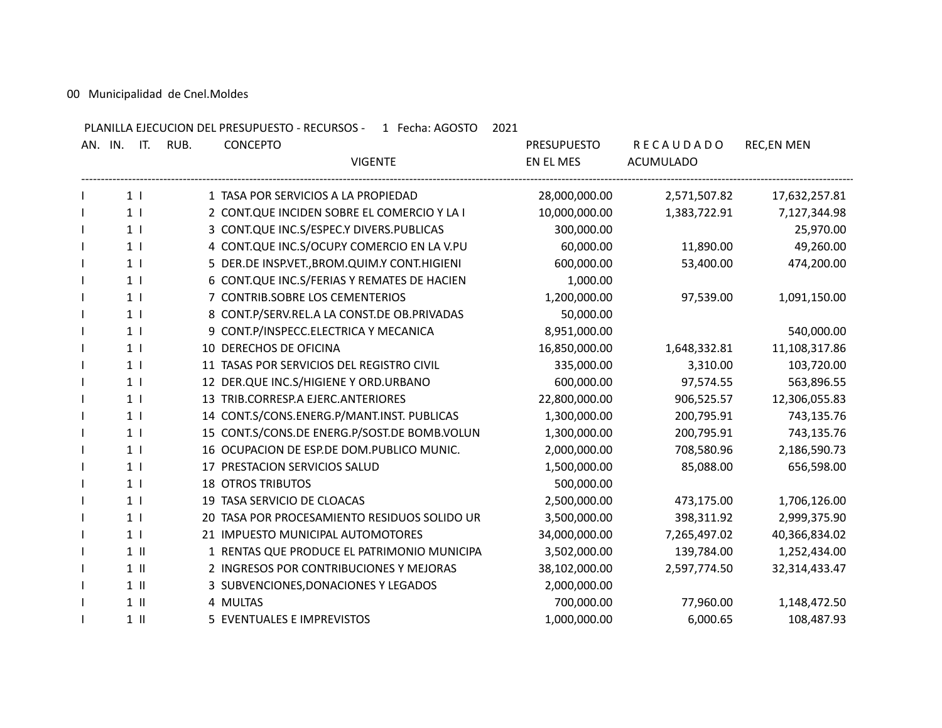00 Municipalidad de Cnel.Moldes

PLANILLA EJECUCION DEL PRESUPUESTO - RECURSOS - 1 Fecha: AGOSTO 2021

| AN. IN. | IT.             | <b>CONCEPTO</b><br>RUB.                      | <b>PRESUPUESTO</b> | <b>RECAUDADO</b> | <b>REC,EN MEN</b> |
|---------|-----------------|----------------------------------------------|--------------------|------------------|-------------------|
|         |                 | <b>VIGENTE</b>                               | EN EL MES          | <b>ACUMULADO</b> |                   |
|         | 1 <sub>1</sub>  | 1 TASA POR SERVICIOS A LA PROPIEDAD          | 28,000,000.00      | 2,571,507.82     | 17,632,257.81     |
|         | 1 <sub>1</sub>  | 2 CONT.QUE INCIDEN SOBRE EL COMERCIO Y LA I  | 10,000,000.00      | 1,383,722.91     | 7,127,344.98      |
|         | 1 <sup>1</sup>  | 3 CONT.QUE INC.S/ESPEC.Y DIVERS.PUBLICAS     | 300,000.00         |                  | 25,970.00         |
|         | 1 <sub>1</sub>  | 4 CONT.QUE INC.S/OCUP.Y COMERCIO EN LA V.PU  | 60,000.00          | 11,890.00        | 49,260.00         |
|         | 1 <sub>1</sub>  | 5 DER.DE INSP.VET., BROM.QUIM.Y CONT.HIGIENI | 600,000.00         | 53,400.00        | 474,200.00        |
|         | 1 <sub>1</sub>  | 6 CONT.QUE INC.S/FERIAS Y REMATES DE HACIEN  | 1,000.00           |                  |                   |
|         | 1 <sub>1</sub>  | 7 CONTRIB.SOBRE LOS CEMENTERIOS              | 1,200,000.00       | 97,539.00        | 1,091,150.00      |
|         | 1 <sub>1</sub>  | 8 CONT.P/SERV.REL.A LA CONST.DE OB.PRIVADAS  | 50,000.00          |                  |                   |
|         | 1 <sub>1</sub>  | 9 CONT.P/INSPECC.ELECTRICA Y MECANICA        | 8,951,000.00       |                  | 540,000.00        |
|         | 1 <sub>1</sub>  | 10 DERECHOS DE OFICINA                       | 16,850,000.00      | 1,648,332.81     | 11,108,317.86     |
|         | 1 <sub>1</sub>  | 11 TASAS POR SERVICIOS DEL REGISTRO CIVIL    | 335,000.00         | 3,310.00         | 103,720.00        |
|         | 1 <sub>1</sub>  | 12 DER.QUE INC.S/HIGIENE Y ORD.URBANO        | 600,000.00         | 97,574.55        | 563,896.55        |
|         | 1 <sub>1</sub>  | 13 TRIB.CORRESP.A EJERC.ANTERIORES           | 22,800,000.00      | 906,525.57       | 12,306,055.83     |
|         | 1 <sub>1</sub>  | 14 CONT.S/CONS.ENERG.P/MANT.INST. PUBLICAS   | 1,300,000.00       | 200,795.91       | 743,135.76        |
|         | 1 <sub>1</sub>  | 15 CONT.S/CONS.DE ENERG.P/SOST.DE BOMB.VOLUN | 1,300,000.00       | 200,795.91       | 743,135.76        |
|         | 1 <sub>1</sub>  | 16 OCUPACION DE ESP.DE DOM.PUBLICO MUNIC.    | 2,000,000.00       | 708,580.96       | 2,186,590.73      |
|         | 1 <sub>1</sub>  | 17 PRESTACION SERVICIOS SALUD                | 1,500,000.00       | 85,088.00        | 656,598.00        |
|         | 1 <sub>1</sub>  | <b>18 OTROS TRIBUTOS</b>                     | 500,000.00         |                  |                   |
|         | 1 <sub>1</sub>  | 19 TASA SERVICIO DE CLOACAS                  | 2,500,000.00       | 473,175.00       | 1,706,126.00      |
|         | 1 <sub>1</sub>  | 20 TASA POR PROCESAMIENTO RESIDUOS SOLIDO UR | 3,500,000.00       | 398,311.92       | 2,999,375.90      |
|         | 1 <sub>1</sub>  | 21 IMPUESTO MUNICIPAL AUTOMOTORES            | 34,000,000.00      | 7,265,497.02     | 40,366,834.02     |
|         | $1$ $\parallel$ | 1 RENTAS QUE PRODUCE EL PATRIMONIO MUNICIPA  | 3,502,000.00       | 139,784.00       | 1,252,434.00      |
|         | $1$ $\parallel$ | 2 INGRESOS POR CONTRIBUCIONES Y MEJORAS      | 38,102,000.00      | 2,597,774.50     | 32,314,433.47     |
|         | $1 \parallel$   | 3 SUBVENCIONES, DONACIONES Y LEGADOS         | 2,000,000.00       |                  |                   |
|         | $1$ $\parallel$ | 4 MULTAS                                     | 700,000.00         | 77,960.00        | 1,148,472.50      |
|         | $1$ $\parallel$ | 5 EVENTUALES E IMPREVISTOS                   | 1,000,000.00       | 6,000.65         | 108,487.93        |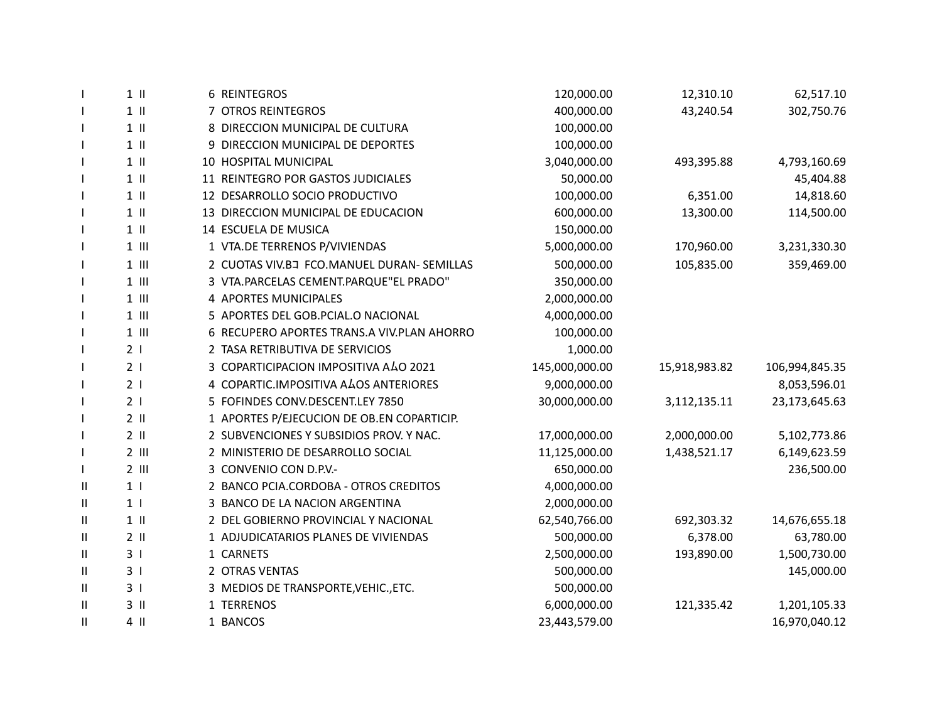|                       | $1$ $\parallel$ | 6 REINTEGROS                               | 120,000.00     | 12,310.10     | 62,517.10      |
|-----------------------|-----------------|--------------------------------------------|----------------|---------------|----------------|
|                       | $1$ $\parallel$ | 7 OTROS REINTEGROS                         | 400,000.00     | 43,240.54     | 302,750.76     |
| $\mathbf{I}$          | $1$ $\parallel$ | 8 DIRECCION MUNICIPAL DE CULTURA           | 100,000.00     |               |                |
|                       | $1$ $\parallel$ | 9 DIRECCION MUNICIPAL DE DEPORTES          | 100,000.00     |               |                |
|                       | $1$ $\parallel$ | 10 HOSPITAL MUNICIPAL                      | 3,040,000.00   | 493,395.88    | 4,793,160.69   |
|                       | $1$ $\parallel$ | 11 REINTEGRO POR GASTOS JUDICIALES         | 50,000.00      |               | 45,404.88      |
|                       | $1$ $\parallel$ | 12 DESARROLLO SOCIO PRODUCTIVO             | 100,000.00     | 6,351.00      | 14,818.60      |
|                       | $1$ $\parallel$ | 13 DIRECCION MUNICIPAL DE EDUCACION        | 600,000.00     | 13,300.00     | 114,500.00     |
|                       | $1 \parallel$   | 14 ESCUELA DE MUSICA                       | 150,000.00     |               |                |
|                       | $1$ $\parallel$ | 1 VTA.DE TERRENOS P/VIVIENDAS              | 5,000,000.00   | 170,960.00    | 3,231,330.30   |
|                       | $1$ $   $       | 2 CUOTAS VIV.BJ FCO.MANUEL DURAN- SEMILLAS | 500,000.00     | 105,835.00    | 359,469.00     |
| $\mathbf{I}$          | $1$ $   $       | 3 VTA.PARCELAS CEMENT.PARQUE"EL PRADO"     | 350,000.00     |               |                |
|                       | $1$ $   $       | 4 APORTES MUNICIPALES                      | 2,000,000.00   |               |                |
|                       | $1$ $   $       | 5 APORTES DEL GOB.PCIAL.O NACIONAL         | 4,000,000.00   |               |                |
|                       | $1$ $   $       | 6 RECUPERO APORTES TRANS.A VIV.PLAN AHORRO | 100,000.00     |               |                |
|                       | 2 <sub>1</sub>  | 2 TASA RETRIBUTIVA DE SERVICIOS            | 1,000.00       |               |                |
|                       | 2 <sub>1</sub>  | 3 COPARTICIPACION IMPOSITIVA ALO 2021      | 145,000,000.00 | 15,918,983.82 | 106,994,845.35 |
|                       | 2 <sub>1</sub>  | 4 COPARTIC.IMPOSITIVA ALOS ANTERIORES      | 9,000,000.00   |               | 8,053,596.01   |
|                       | 2 <sub>1</sub>  | 5 FOFINDES CONV.DESCENT.LEY 7850           | 30,000,000.00  | 3,112,135.11  | 23,173,645.63  |
|                       | $2$ II          | 1 APORTES P/EJECUCION DE OB.EN COPARTICIP. |                |               |                |
|                       | $2$ II          | 2 SUBVENCIONES Y SUBSIDIOS PROV. Y NAC.    | 17,000,000.00  | 2,000,000.00  | 5,102,773.86   |
|                       | $2$ III         | 2 MINISTERIO DE DESARROLLO SOCIAL          | 11,125,000.00  | 1,438,521.17  | 6,149,623.59   |
|                       | $2$ III         | 3 CONVENIO CON D.P.V.-                     | 650,000.00     |               | 236,500.00     |
| $\mathbf{I}$          | 1 <sub>1</sub>  | 2 BANCO PCIA.CORDOBA - OTROS CREDITOS      | 4,000,000.00   |               |                |
| $\mathbf{\mathsf{H}}$ | 1 <sub>1</sub>  | 3 BANCO DE LA NACION ARGENTINA             | 2,000,000.00   |               |                |
| Ш                     | $1$ $\parallel$ | 2 DEL GOBIERNO PROVINCIAL Y NACIONAL       | 62,540,766.00  | 692,303.32    | 14,676,655.18  |
| $\mathbf{\mathsf{H}}$ | $2$ II          | 1 ADJUDICATARIOS PLANES DE VIVIENDAS       | 500,000.00     | 6,378.00      | 63,780.00      |
| $\mathbf{I}$          | 3 <sub>1</sub>  | 1 CARNETS                                  | 2,500,000.00   | 193,890.00    | 1,500,730.00   |
| $\mathbf{\mathsf{H}}$ | 3 <sub>1</sub>  | 2 OTRAS VENTAS                             | 500,000.00     |               | 145,000.00     |
| $\mathbf{H}$          | 3 <sub>1</sub>  | 3 MEDIOS DE TRANSPORTE, VEHIC., ETC.       | 500,000.00     |               |                |
| $\mathbf{\mathsf{H}}$ | $3$ II          | 1 TERRENOS                                 | 6,000,000.00   | 121,335.42    | 1,201,105.33   |
| Ш                     | 4 II            | 1 BANCOS                                   | 23,443,579.00  |               | 16,970,040.12  |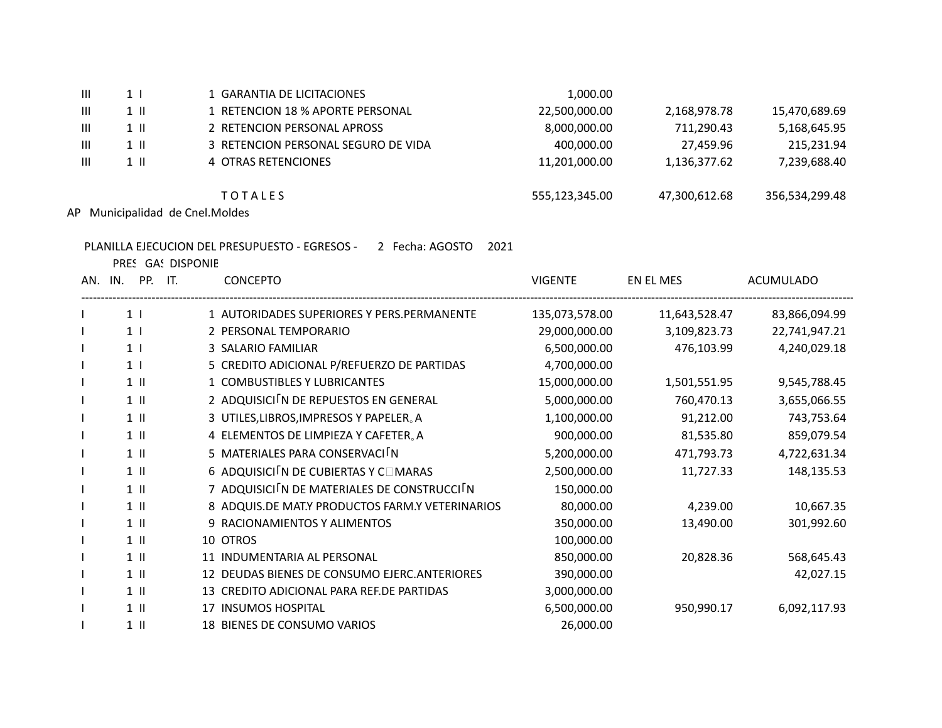| Ш | 1 <sup>1</sup> | 1 GARANTIA DE LICITACIONES          | 1,000.00       |               |                |
|---|----------------|-------------------------------------|----------------|---------------|----------------|
| Ш | $1 \parallel$  | 1 RETENCION 18 % APORTE PERSONAL    | 22,500,000.00  | 2,168,978.78  | 15,470,689.69  |
| Ш | $1 \parallel$  | 2 RETENCION PERSONAL APROSS         | 8,000,000.00   | 711,290.43    | 5,168,645.95   |
| Ш | 1 II           | 3 RETENCION PERSONAL SEGURO DE VIDA | 400.000.00     | 27.459.96     | 215,231.94     |
| Ш | $1 \parallel$  | 4 OTRAS RETENCIONES                 | 11,201,000.00  | 1,136,377.62  | 7,239,688.40   |
|   |                | <b>TOTALES</b>                      | 555,123,345.00 | 47,300,612.68 | 356,534,299.48 |

AP Municipalidad de Cnel.Moldes

## PLANILLA EJECUCION DEL PRESUPUESTO - EGRESOS - 2 Fecha: AGOSTO 2021

PRES GAS DISPONIE

AN. IN. PP. IT. CONCEPTO CONCEPTO CONSERVER EN EL MES ACUMULADO ------------------------------------------------------------------------------------------------------------------------------------------------------------------------------------------------------------------ I 1 I 1 AUTORIDADES SUPERIORES Y PERS.PERMANENTE 135,073,578.00 11,643,528.47 83,866,094.99 I 1 I 2 PERSONAL TEMPORARIO 29,000,000.00 3,109,823.73 22,741,947.21 I 1 I 3 SALARIO FAMILIAR 6,500,000.00 476,103.99 4,240,029.18 I 1 I 5 CREDITO ADICIONAL P/REFUERZO DE PARTIDAS 4,700,000.00 1 II 1 1 COMBUSTIBLES Y LUBRICANTES 15,000,000.00 1,501,551.95 9,545,788.45 I 1 II 2 ADQUISICI「N DE REPUESTOS EN GENERAL 5,000,000.00 760,470.13 3,655,066.55 I 1 II 3 UTILES,LIBROS,IMPRESOS Y PAPELER。A 1,100,000.00 91,212.00 743,753.64 I 1 II 4 ELEMENTOS DE LIMPIEZA Y CAFETER。A 900,000.00 81,535.80 859,079.54 I 1 II 5 MATERIALES PARA CONSERVACI「N 5,200,000.00 471,793.73 4,722,631.34 1 II 6 ADQUISICI<sup>[</sup>N DE CUBIERTAS Y C□MARAS 2,500,000.00 11,727.33 148,135.53 I 1 II 7 ADQUISICI「N DE MATERIALES DE CONSTRUCCI「N 150,000.00 1 II 8 ADQUIS.DE MAT.Y PRODUCTOS FARM.Y VETERINARIOS 80,000.00 4,239.00 10,667.35 I 1 II 9 RACIONAMIENTOS Y ALIMENTOS 350,000.00 13,490.00 301,992.60 I 1 II 10 OTROS 100,000.00 I 1 II 11 INDUMENTARIA AL PERSONAL 850,000.00 20,828.36 568,645.43 I 1 II 12 DEUDAS BIENES DE CONSUMO EJERC.ANTERIORES 390,000.00 42,027.15 1 II 13 CREDITO ADICIONAL PARA REF.DE PARTIDAS 3,000,000.00 I 1 II 17 INSUMOS HOSPITAL 6,500,000.00 950,990.17 6,092,117.93 I 1 II 18 BIENES DE CONSUMO VARIOS 1 26,000.00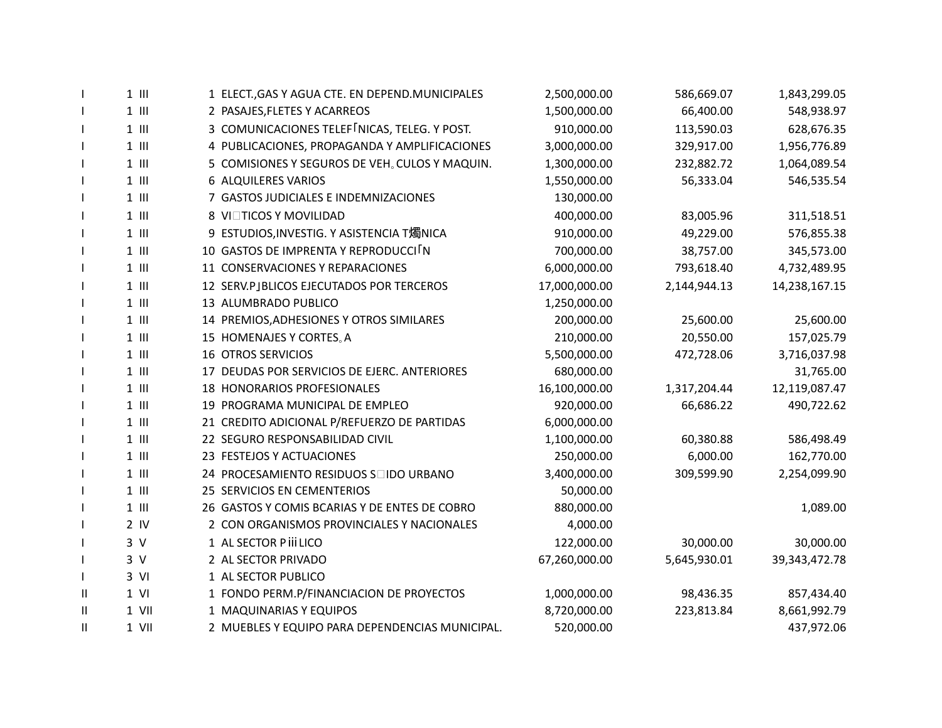| $\mathbf{I}$  | $1$ $   $       | 1 ELECT., GAS Y AGUA CTE. EN DEPEND. MUNICIPALES  | 2,500,000.00  | 586,669.07   | 1,843,299.05     |
|---------------|-----------------|---------------------------------------------------|---------------|--------------|------------------|
| J.            | $1$ $   $       | 2 PASAJES, FLETES Y ACARREOS                      | 1,500,000.00  | 66,400.00    | 548,938.97       |
| $\mathbf{I}$  | $1$ $   $       | 3 COMUNICACIONES TELEF NICAS, TELEG. Y POST.      | 910,000.00    | 113,590.03   | 628,676.35       |
| $\mathbf{I}$  | $1$ $  $        | 4 PUBLICACIONES, PROPAGANDA Y AMPLIFICACIONES     | 3,000,000.00  | 329,917.00   | 1,956,776.89     |
|               | $1$ $  $        | 5 COMISIONES Y SEGUROS DE VEH. CULOS Y MAQUIN.    | 1,300,000.00  | 232,882.72   | 1,064,089.54     |
| J.            | $1$ $  $        | 6 ALQUILERES VARIOS                               | 1,550,000.00  | 56,333.04    | 546,535.54       |
| $\mathbf{I}$  | $1$ $  $        | 7 GASTOS JUDICIALES E INDEMNIZACIONES             | 130,000.00    |              |                  |
|               | $1$ $  $        | <b>8 VI□TICOS Y MOVILIDAD</b>                     | 400,000.00    | 83,005.96    | 311,518.51       |
| $\mathbf{I}$  | $1$ $  $        | 9 ESTUDIOS, INVESTIG. Y ASISTENCIA T燭NICA         | 910,000.00    | 49,229.00    | 576,855.38       |
| J.            | $1$ $  $        | 10 GASTOS DE IMPRENTA Y REPRODUCCI <sup>I</sup> N | 700,000.00    | 38,757.00    | 345,573.00       |
| $\mathbf{I}$  | $1$ $  $        | 11 CONSERVACIONES Y REPARACIONES                  | 6,000,000.00  | 793,618.40   | 4,732,489.95     |
| $\mathbf{I}$  | $1$ $  $        | 12 SERV.PJBLICOS EJECUTADOS POR TERCEROS          | 17,000,000.00 | 2,144,944.13 | 14,238,167.15    |
| $\mathbf{I}$  | $1$ $  $        | 13 ALUMBRADO PUBLICO                              | 1,250,000.00  |              |                  |
| $\mathbf{I}$  | $1$ $  $        | 14 PREMIOS, ADHESIONES Y OTROS SIMILARES          | 200,000.00    | 25,600.00    | 25,600.00        |
| $\mathbf{I}$  | $1$ $   $       | 15 HOMENAJES Y CORTES <sub>®</sub> A              | 210,000.00    | 20,550.00    | 157,025.79       |
|               | $1$ $  $        | <b>16 OTROS SERVICIOS</b>                         | 5,500,000.00  | 472,728.06   | 3,716,037.98     |
|               | $1$ $  $        | 17 DEUDAS POR SERVICIOS DE EJERC. ANTERIORES      | 680,000.00    |              | 31,765.00        |
| $\mathbf{I}$  | $1$ $  $        | 18 HONORARIOS PROFESIONALES                       | 16,100,000.00 | 1,317,204.44 | 12,119,087.47    |
| $\mathbf{I}$  | $1$ $  $        | 19 PROGRAMA MUNICIPAL DE EMPLEO                   | 920,000.00    | 66,686.22    | 490,722.62       |
|               | $1$ $\parallel$ | 21 CREDITO ADICIONAL P/REFUERZO DE PARTIDAS       | 6,000,000.00  |              |                  |
| $\mathbf{I}$  | $1$ $  $        | 22 SEGURO RESPONSABILIDAD CIVIL                   | 1,100,000.00  | 60,380.88    | 586,498.49       |
|               | $1$ $  $        | 23 FESTEJOS Y ACTUACIONES                         | 250,000.00    | 6,000.00     | 162,770.00       |
|               | $1$ $   $       | 24 PROCESAMIENTO RESIDUOS Soldo URBANO            | 3,400,000.00  | 309,599.90   | 2,254,099.90     |
| $\mathbf{I}$  | $1$ $  $        | 25 SERVICIOS EN CEMENTERIOS                       | 50,000.00     |              |                  |
|               | $1$ $  $        | 26 GASTOS Y COMIS BCARIAS Y DE ENTES DE COBRO     | 880,000.00    |              | 1,089.00         |
|               | $2$ IV          | 2 CON ORGANISMOS PROVINCIALES Y NACIONALES        | 4,000.00      |              |                  |
|               | 3V              | 1 AL SECTOR P III LICO                            | 122,000.00    | 30,000.00    | 30,000.00        |
|               | 3V              | 2 AL SECTOR PRIVADO                               | 67,260,000.00 | 5,645,930.01 | 39, 343, 472. 78 |
| $\mathbf{I}$  | $3$ VI          | 1 AL SECTOR PUBLICO                               |               |              |                  |
| Ш             | $1$ VI          | 1 FONDO PERM.P/FINANCIACION DE PROYECTOS          | 1,000,000.00  | 98,436.35    | 857,434.40       |
| H             | $1$ VII         | 1 MAQUINARIAS Y EQUIPOS                           | 8,720,000.00  | 223,813.84   | 8,661,992.79     |
| $\mathbf{II}$ | 1 VII           | 2 MUEBLES Y EQUIPO PARA DEPENDENCIAS MUNICIPAL.   | 520,000.00    |              | 437,972.06       |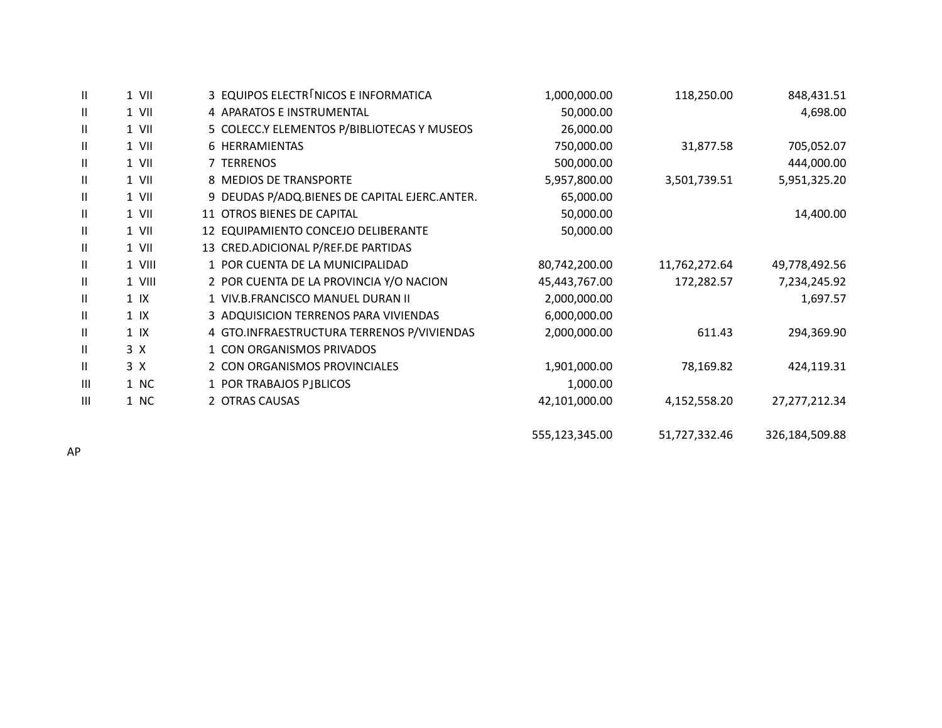| Ш              | $1$ VII   | 3 EQUIPOS ELECTR NICOS E INFORMATICA          | 1,000,000.00   | 118,250.00    | 848,431.51     |
|----------------|-----------|-----------------------------------------------|----------------|---------------|----------------|
| Ш              | 1 VII     | 4 APARATOS E INSTRUMENTAL                     | 50,000.00      |               | 4,698.00       |
| Ш              | 1 VII     | 5 COLECC.Y ELEMENTOS P/BIBLIOTECAS Y MUSEOS   | 26,000.00      |               |                |
| Ш              | 1 VII     | 6 HERRAMIENTAS                                | 750,000.00     | 31,877.58     | 705,052.07     |
| Ш              | 1 VII     | 7 TERRENOS                                    | 500,000.00     |               | 444,000.00     |
| Ш              | 1 VII     | 8 MEDIOS DE TRANSPORTE                        | 5,957,800.00   | 3,501,739.51  | 5,951,325.20   |
| Ш              | 1 VII     | 9 DEUDAS P/ADQ.BIENES DE CAPITAL EJERC.ANTER. | 65,000.00      |               |                |
| Ш              | $1$ VII   | 11 OTROS BIENES DE CAPITAL                    | 50,000.00      |               | 14,400.00      |
| Ш              | 1 VII     | 12 EQUIPAMIENTO CONCEJO DELIBERANTE           | 50,000.00      |               |                |
| Ш              | $1$ VII   | 13 CRED.ADICIONAL P/REF.DE PARTIDAS           |                |               |                |
| Ш              | 1 VIII    | 1 POR CUENTA DE LA MUNICIPALIDAD              | 80,742,200.00  | 11,762,272.64 | 49,778,492.56  |
| Ш              | 1 VIII    | 2 POR CUENTA DE LA PROVINCIA Y/O NACION       | 45,443,767.00  | 172,282.57    | 7,234,245.92   |
| Ш              | $1$ IX    | 1 VIV.B.FRANCISCO MANUEL DURAN II             | 2,000,000.00   |               | 1,697.57       |
| Ш              | $1$ IX    | 3 ADQUISICION TERRENOS PARA VIVIENDAS         | 6,000,000.00   |               |                |
| Ш              | $1 \,$ IX | 4 GTO.INFRAESTRUCTURA TERRENOS P/VIVIENDAS    | 2,000,000.00   | 611.43        | 294,369.90     |
| Ш              | 3 X       | 1 CON ORGANISMOS PRIVADOS                     |                |               |                |
| Ш              | 3 X       | 2 CON ORGANISMOS PROVINCIALES                 | 1,901,000.00   | 78,169.82     | 424,119.31     |
| $\mathbf{III}$ | 1 NC      | 1 POR TRABAJOS PJBLICOS                       | 1,000.00       |               |                |
| $\mathbf{III}$ | 1 NC      | 2 OTRAS CAUSAS                                | 42,101,000.00  | 4,152,558.20  | 27,277,212.34  |
|                |           |                                               | 555,123,345.00 | 51,727,332.46 | 326,184,509.88 |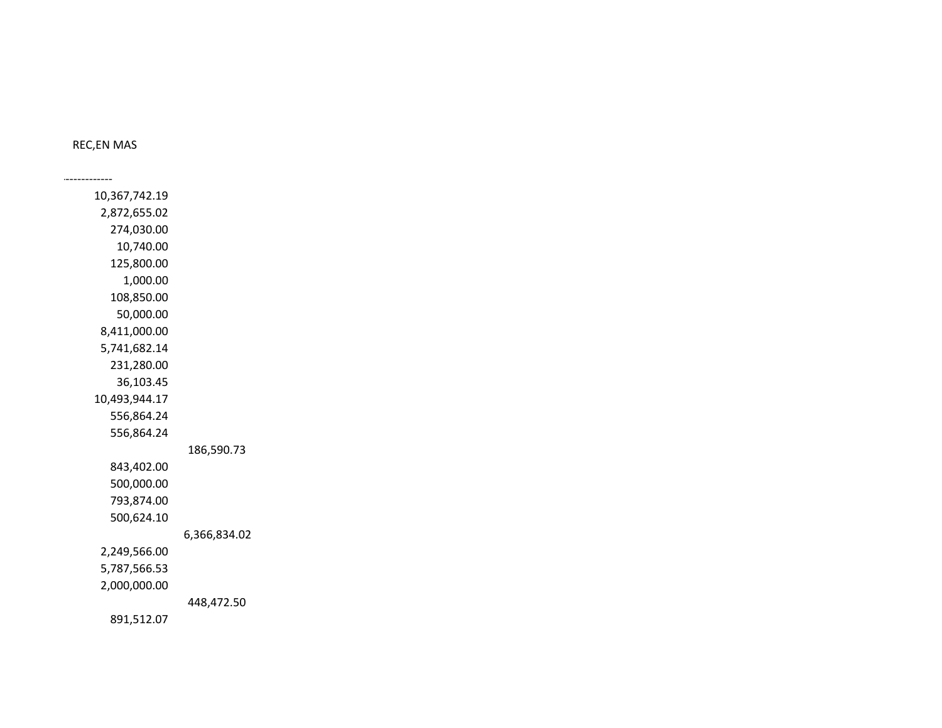REC,EN MAS

------------------------------------------------------------------------------------------------------------------------------------------------------------------------------------------------------------------

 10,367,742.19 2,872,655.02 274,030.00 10,740.00 125,800.00 1,000.00 108,850.00 50,000.00 8,411,000.00 5,741,682.14 231,280.00 36,103.45 10,493,944.17 556,864.24 556,864.24 186,590.73 843,402.00 500,000.00 793,874.00 500,624.10 6,366,834.02 2,249,566.00 5,787,566.53 2,000,000.00 448,472.50 891,512.07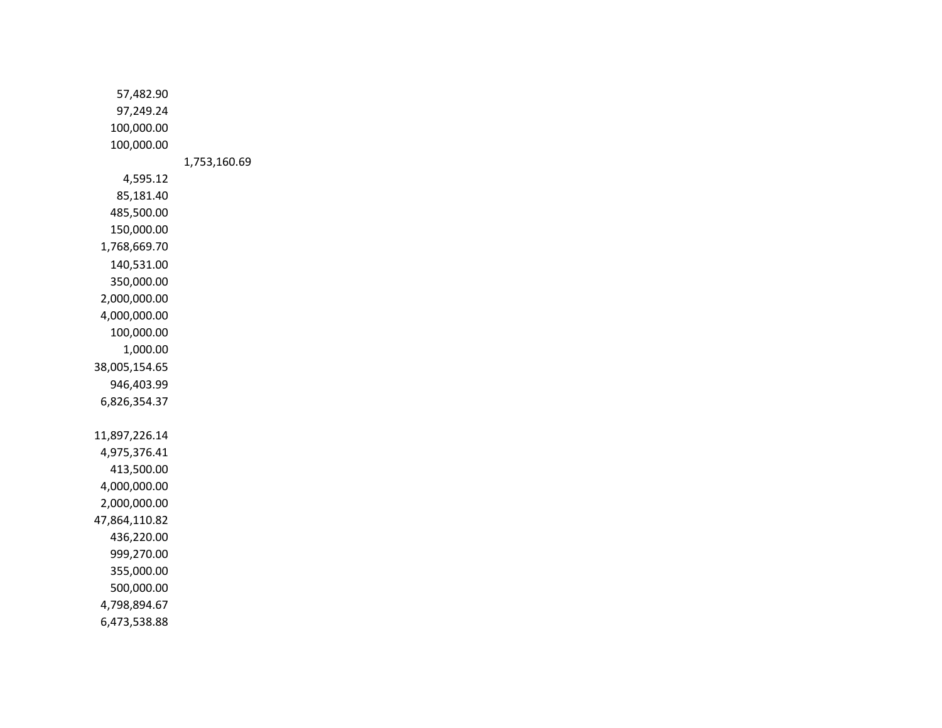57,482.90 97,249.24 100,000.00 100,000.00 1,753,160.69 4,595.12 85,181.40 485,500.00 150,000.00 1,768,669.70 140,531.00 350,000.00 2,000,000.00 4,000,000.00 100,000.00 1,000.00 38,005,154.65 946,403.99 6,826,354.37 11,897,226.14 4,975,376.41 413,500.00 4,000,000.00 2,000,000.00 47,864,110.82 436,220.00 999,270.00 355,000.00 500,000.00 4,798,894.67 6,473,538.88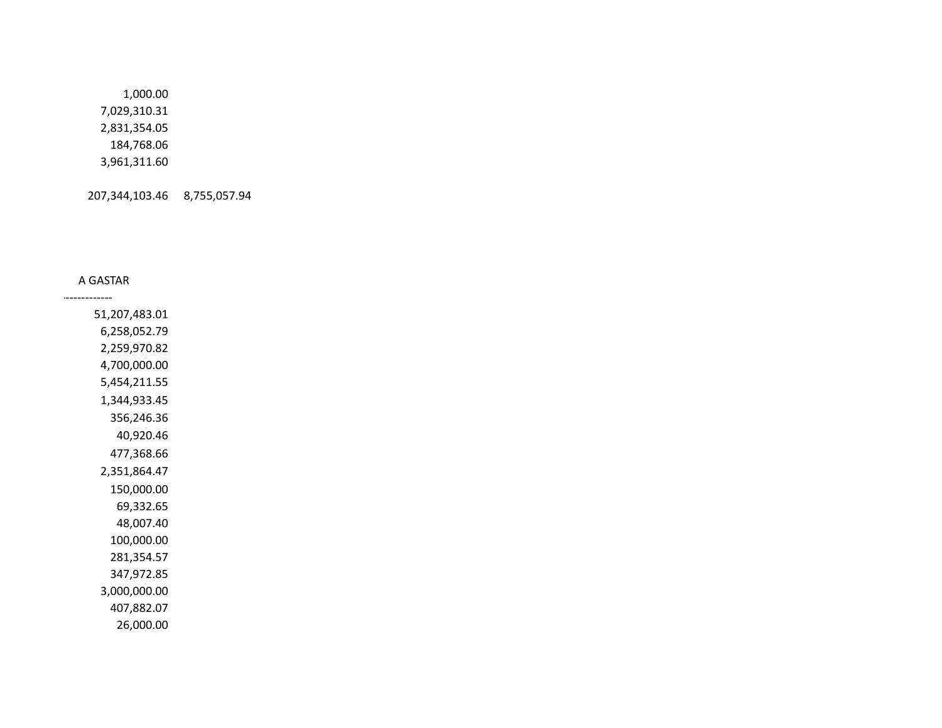1,000.00 7,029,310.31 2,831,354.05 184,768.06 3,961,311.60

207,344,103.46 8,755,057.94

## A GASTAR

------------------------------------------------------------------------------------------------------------------------------------------------------------------------------------------------------------------

 51,207,483.01 6,258,052.79 2,259,970.82 4,700,000.00 5,454,211.55 1,344,933.45 356,246.36 40,920.46 477,368.66 2,351,864.47 150,000.00 69,332.65 48,007.40 100,000.00 281,354.57 347,972.85 3,000,000.00 407,882.07 26,000.00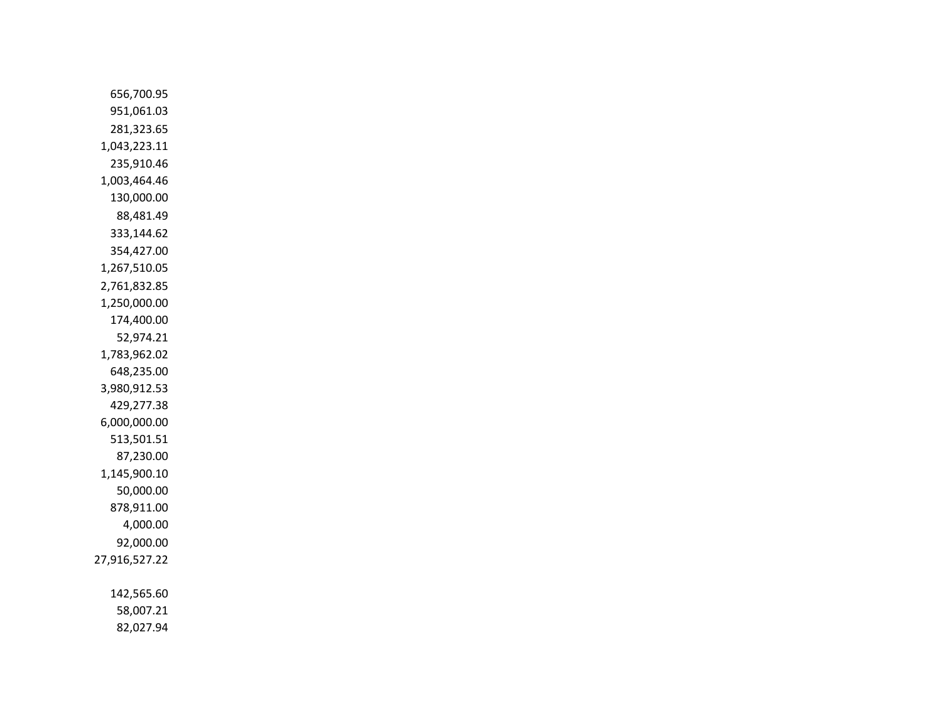656,700.95 951,061.03 281,323.65 1,043,223.11 235,910.46 1,003,464.46 130,000.00 88,481.49 333,144.62 354,427.00 1,267,510.05 2,761,832.85 1,250,000.00 174,400.00 52,974.21 1,783,962.02 648,235.00 3,980,912.53 429,277.38 6,000,000.00 513,501.51 87,230.00 1,145,900.10 50,000.00 878,911.00 4,000.00 92,000.00 27,916,527.22 142,565.60 58,007.21

82,027.94